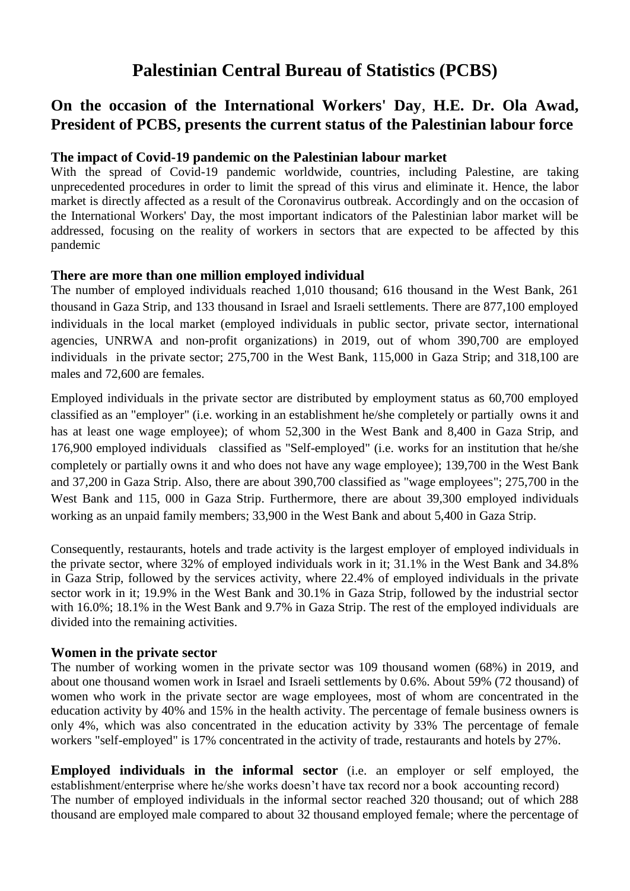# **Palestinian Central Bureau of Statistics (PCBS)**

## **On the occasion of the International Workers' Day**, **H.E. Dr. Ola Awad, President of PCBS, presents the current status of the Palestinian labour force**

#### **The impact of Covid-19 pandemic on the Palestinian labour market**

With the spread of Covid-19 pandemic worldwide, countries, including Palestine, are taking unprecedented procedures in order to limit the spread of this virus and eliminate it. Hence, the labor market is directly affected as a result of the Coronavirus outbreak. Accordingly and on the occasion of the International Workers' Day, the most important indicators of the Palestinian labor market will be addressed, focusing on the reality of workers in sectors that are expected to be affected by this pandemic

#### **There are more than one million employed individual**

The number of employed individuals reached 1,010 thousand; 616 thousand in the West Bank, 261 thousand in Gaza Strip, and 133 thousand in Israel and Israeli settlements. There are 877,100 employed individuals in the local market (employed individuals in public sector, private sector, international agencies, UNRWA and non-profit organizations) in 2019, out of whom 390,700 are employed individuals in the private sector; 275,700 in the West Bank, 115,000 in Gaza Strip; and 318,100 are males and 72,600 are females.

Employed individuals in the private sector are distributed by employment status as 60,700 employed classified as an "employer" (i.e. working in an establishment he/she completely or partially owns it and has at least one wage employee); of whom 52,300 in the West Bank and 8,400 in Gaza Strip, and 176,900 employed individuals classified as "Self-employed" (i.e. works for an institution that he/she completely or partially owns it and who does not have any wage employee); 139,700 in the West Bank and 37,200 in Gaza Strip. Also, there are about 390,700 classified as "wage employees"; 275,700 in the West Bank and 115, 000 in Gaza Strip. Furthermore, there are about 39,300 employed individuals working as an unpaid family members; 33,900 in the West Bank and about 5,400 in Gaza Strip.

Consequently, restaurants, hotels and trade activity is the largest employer of employed individuals in the private sector, where 32% of employed individuals work in it; 31.1% in the West Bank and 34.8% in Gaza Strip, followed by the services activity, where 22.4% of employed individuals in the private sector work in it; 19.9% in the West Bank and 30.1% in Gaza Strip, followed by the industrial sector with 16.0%; 18.1% in the West Bank and 9.7% in Gaza Strip. The rest of the employed individuals are divided into the remaining activities.

#### **Women in the private sector**

The number of working women in the private sector was 109 thousand women (68%) in 2019, and about one thousand women work in Israel and Israeli settlements by 0.6%. About 59% (72 thousand) of women who work in the private sector are wage employees, most of whom are concentrated in the education activity by 40% and 15% in the health activity. The percentage of female business owners is only 4%, which was also concentrated in the education activity by 33% The percentage of female workers "self-employed" is 17% concentrated in the activity of trade, restaurants and hotels by 27%.

**Employed individuals in the informal sector** (i.e. an employer or self employed, the establishment/enterprise where he/she works doesn't have tax record nor a book accounting record) The number of employed individuals in the informal sector reached 320 thousand; out of which 288 thousand are employed male compared to about 32 thousand employed female; where the percentage of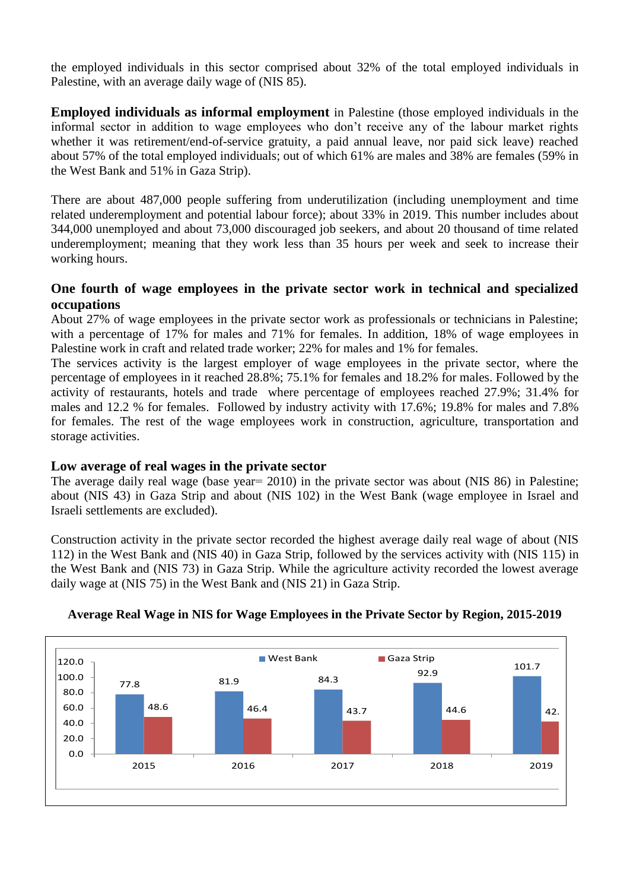the employed individuals in this sector comprised about 32% of the total employed individuals in Palestine, with an average daily wage of (NIS 85).

**Employed individuals as informal employment** in Palestine (those employed individuals in the informal sector in addition to wage employees who don't receive any of the labour market rights whether it was retirement/end-of-service gratuity, a paid annual leave, nor paid sick leave) reached about 57% of the total employed individuals; out of which 61% are males and 38% are females (59% in the West Bank and 51% in Gaza Strip).

There are about 487,000 people suffering from underutilization (including unemployment and time related underemployment and potential labour force); about 33% in 2019. This number includes about 344,000 unemployed and about 73,000 discouraged job seekers, and about 20 thousand of time related underemployment; meaning that they work less than 35 hours per week and seek to increase their working hours.

#### **One fourth of wage employees in the private sector work in technical and specialized occupations**

About 27% of wage employees in the private sector work as professionals or technicians in Palestine; with a percentage of 17% for males and 71% for females. In addition, 18% of wage employees in Palestine work in craft and related trade worker; 22% for males and 1% for females.

The services activity is the largest employer of wage employees in the private sector, where the percentage of employees in it reached 28.8%; 75.1% for females and 18.2% for males. Followed by the activity of restaurants, hotels and trade where percentage of employees reached 27.9%; 31.4% for males and 12.2 % for females. Followed by industry activity with 17.6%; 19.8% for males and 7.8% for females. The rest of the wage employees work in construction, agriculture, transportation and storage activities.

#### **Low average of real wages in the private sector**

The average daily real wage (base year= 2010) in the private sector was about (NIS 86) in Palestine; about (NIS 43) in Gaza Strip and about (NIS 102) in the West Bank (wage employee in Israel and Israeli settlements are excluded).

Construction activity in the private sector recorded the highest average daily real wage of about (NIS 112) in the West Bank and (NIS 40) in Gaza Strip, followed by the services activity with (NIS 115) in the West Bank and (NIS 73) in Gaza Strip. While the agriculture activity recorded the lowest average daily wage at (NIS 75) in the West Bank and (NIS 21) in Gaza Strip.



### **Average Real Wage in NIS for Wage Employees in the Private Sector by Region, 2015-2019**